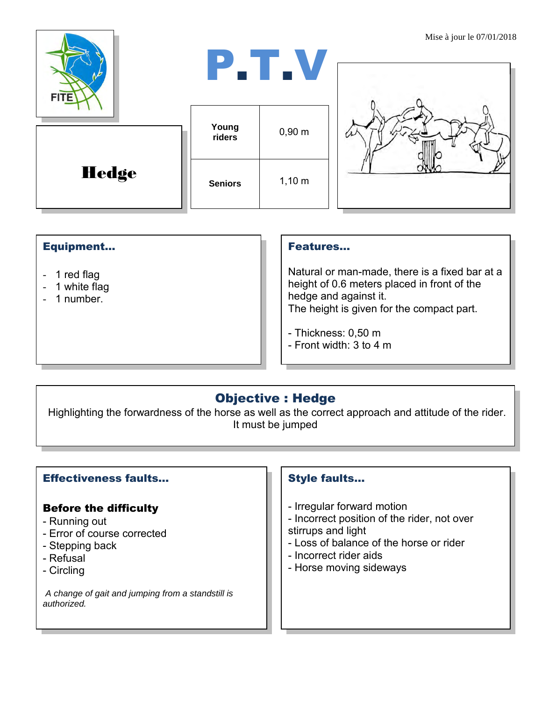| <b>FITE</b>  |                 | P.T.V       | <b>NUSE</b> a join le $07/01/201$ |
|--------------|-----------------|-------------|-----------------------------------|
|              | Young<br>riders | $0,90 \; m$ |                                   |
| <b>Hedge</b> | <b>Seniors</b>  | 1,10 m      |                                   |

## Equipment...

- 1 red flag
- 1 white flag
- 1 number.

#### Features…

Natural or man-made, there is a fixed bar at a height of 0.6 meters placed in front of the hedge and against it. The height is given for the compact part.

- Thickness: 0,50 m
- Front width: 3 to 4 m

# Objective : Hedge

Highlighting the forwardness of the horse as well as the correct approach and attitude of the rider. It must be jumped

## Effectiveness faults…

#### Before the difficulty

- Running out
- Error of course corrected
- Stepping back
- Refusal
- Circling

*A change of gait and jumping from a standstill is authorized.*

## Style faults…

- Irregular forward motion
- Incorrect position of the rider, not over
- stirrups and light
- Loss of balance of the horse or rider
- Incorrect rider aids
- Horse moving sideways